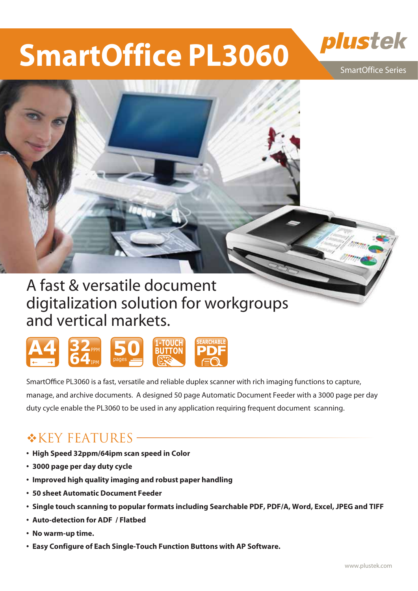# **SmartOffice PL3060**



SmartOffice Series



# digitalization solution for workgroups and vertical markets.



SmartOffice PL3060 is a fast, versatile and reliable duplex scanner with rich imaging functions to capture, manage, and archive documents. A designed 50 page Automatic Document Feeder with a 3000 page per day duty cycle enable the PL3060 to be used in any application requiring frequent document scanning.

### $K$ KEY FEATURES –

- **�High Speed 32ppm/64ipm scan speed in Color**
- **�3000 page per day duty cycle**
- **�Improved high quality imaging and robust paper handling**
- **�50 sheet Automatic Document Feeder**
- **�Single touch scanning to popular formats including Searchable PDF, PDF/A, Word, Excel, JPEG and TIFF**
- **�Auto-detection for ADF / Flatbed**
- **�No warm-up time.**
- **�Easy Configure of Each Single-Touch Function Buttons with AP Software.**